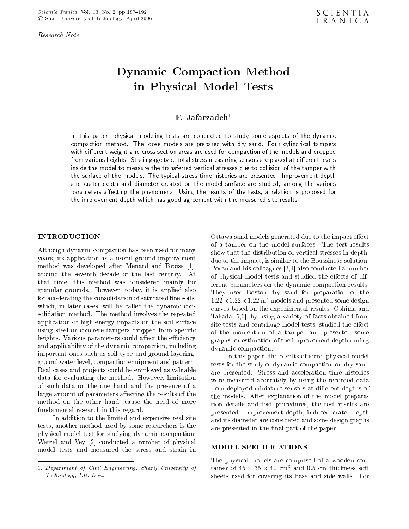Research Note

# Dynamic Compaction Method in Physical Model Tests

## $F.$  Jafarzadeh<sup>1</sup>

In this paper, physical modeling tests are conducted to study some aspects of the dynamic compaction method. The loose models are prepared with dry sand. Four cylindrical tampers with dierent weight and cross section areas are used for compaction of the models and dropped from various heights. Strain gage type total stress measuring sensors are placed at dierent levels inside the model to measure the transferred vertical stresses due to collision of the tamper with the surface of the models. The typical stress time histories are presented. Improvement depth and crater depth and diameter created on the model surface are studied, among the various parameters aecting the phenomena. Using the results of the tests, <sup>a</sup> relation isproposed for the improvement depth which has good agreement with the measured site results.

#### INTRODUCTION

Although dynamic compaction has been used for many years, its application as a useful ground improvement method was developed after Menard and Broise [1], around the seventh decade of the last century. At that time, this method was considered mainly for granular grounds. However, today, it is applied also for accelerating the consolidation of saturated fine soils; which, in later cases, will be called the dynamic consolidation method. The method involves the repeated application of high energy impacts on the soil surface using steel or concrete tampers dropped from specic heights. Various parameters could affect the efficiency and applicability of the dynamic compaction, including important ones such as soil type and ground layering, ground water level, compaction equipment and pattern. Real cases and projects could be employed as valuable data for evaluating the method. However, limitation of such data on the one hand and the presence of <sup>a</sup> large amount of parameters affecting the results of the method on the other hand, cause the need of more fundamental research in this regard.

In addition to the limited and expensive real site tests, another method used by some researchers is the physical model test for studying dynamic compaction. Wetzel and Vey [2] conducted <sup>a</sup> number of physical model tests and measured the stress and strain in

Ottawa sand models generated due to the impact effect of <sup>a</sup> tamper on the model surfaces. The test results show that the distribution of vertical stresses in depth, due to the impact, is similar to the Boussinesq solution. Poran and his colleagues [3,4] also conducted a number of physical model tests and studied the effects of different parameters on the dynamic compaction results. They used Boston dry sand for preparation of the 1:22-1:22-1:22 m3 models and presented some design curves based on the experimental results. Oshima and Takada [5,6], by using a variety of facts obtained from site tests and centrifuge model tests, studied the effect of the momentum of atamper and presented some graphs for estimation of the improvement depth during dynamic compaction.

In this paper, the results of some physical model tests for the study of dynamic compaction on dry sand are presented. Stress and acceleration time histories were measured accurately by using the recorded data from deployed miniature sensors at different depths of the models. After explanation of the model preparation details and test procedures, the test results are presented. Improvement depth, induced crater depth and its diameter are considered and some design graphs are presented in the final part of the paper.

#### MODEL SPECIFICATIONS

The physical models are comprised of <sup>a</sup> wooden con- $\tan \theta$  or  $\pm 5 \times 55 \times 40$  cm  $\tan \theta$  or  $\tan \theta$  and  $\tan \theta$  and  $\tan \theta$ sheets used for covering its base and side walls. For

<sup>1.</sup> Department of Civil Engineering, Sharif University of Technology, I.R. Iran.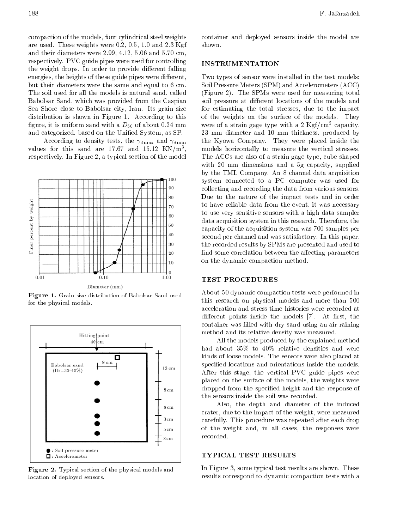compaction of the models, four cylindrical steel weights are used. These weights were 0.2, 0.5, 1.0 and 2.3 Kgf and their diameters were 2.99, 4.12, 5.06 and 5.70 cm, respectively. PVC guide pipes were used for controlling the weight drops. In order to provide different falling energies, the heights of these guide pipes were different, but their diameters were the same and equal to 6 cm. The soil used for all the models is natural sand, called Babolsar Sand, which was provided from the Caspian Sea Shore close to Babolsar city, Iran. Its grain size distribution is shown in Figure 1. According to this figure, it is uniform sand with a  $D_{50}$  of about 0.24 mm and categorized, based on the Unified System, as SP.

According to density tests, the  $\gamma_{d \text{ max}}$  and  $\gamma_{d \text{ min}}$ values for this sand are 17.67 and 15.12  $KN/m^3$ , , respectively. In Figure 2, a typical section of the model



Figure 1. Grain size distribution of Babolsar Sand used for the physical models.



Figure 2. Typical section of the physical models and location of deployed sensors.

container and deployed sensors inside the model are shown.

#### INSTRUMENTATION

Two types of sensor were installed in the test models: Soil Pressure Meters (SPM) and Accelerometers (ACC) (Figure 2). The SPMs were used for measuring total soil pressure at different locations of the models and for estimating the total stresses, due to the impact of the weights on the surface of the models. They were of a strain gage type with a 2  $\text{Kgf/cm}^2$  capacity, <sup>23</sup> mm diameter and <sup>10</sup> mm thickness, produced by the Kyowa Company. They were placed inside the models horizontally to measure the vertical stresses. The ACCs are also of a strain gage type, cube shaped with <sup>20</sup> mm dimensions and <sup>a</sup> 5g capacity, supplied by the TML Company. An 8 channel data acquisition system connected to <sup>a</sup> PC computer was used for collecting and recording the data from various sensors. Due to the nature of the impact tests and in order to have reliable data from the event, it was necessary to use very sensitive sensors with a high data sampler data acquisition system in this research. Therefore, the capacity of the acquisition system was 700 samples per second per channel and was satisfactory. In this paper, the recorded results by SPMs are presented and used to find some correlation between the affecting parameters on the dynamic compaction method.

### TEST PROCEDURES

About 50 dynamic compaction tests were performed in this research on physical models and more than <sup>500</sup> acceleration and stress time histories were recorded at different points inside the models  $[7]$ . At first, the container was filled with dry sand using an air raining method and its relative density was measured.

All the models produced by the explained method had about 35% to 40% relative densities and were kinds of loose models. The sensors were also placed at specied locations and orientations inside the models. After this stage, the vertical PVC guide pipes were placed on the surface of the models, the weights were dropped from the specied height and the response of the sensors inside the soil was recorded.

Also, the depth and diameter of the induced crater, due to the impact of the weight, were measured carefully. This procedure was repeated after each drop of the weight and, in all cases, the responses were recorded.

#### TYPICAL TEST RESULTS

In Figure 3, some typical test results are shown. These results correspond to dynamic compaction tests with a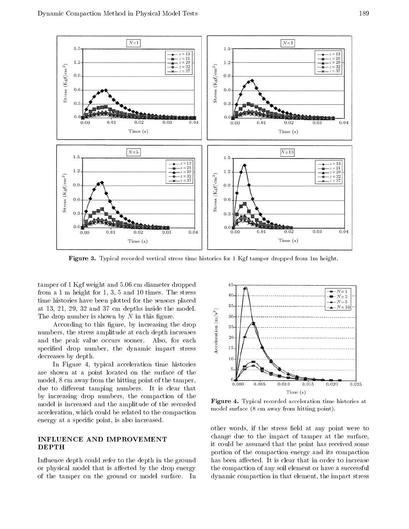

Figure 3. Typical recorded vertical stress time histories for 1 Kgf tamper dropped from 1m height.

tamper of 1 Kgf weight and 5.06 cm diameter dropped from a 1 m height for 1, 3, 5 and 10 times. The stress time histories have been plotted for the sensors placed at 13, 21, 29, <sup>32</sup> and 37 cm depths inside the model. The drop number is shown by  $N$  in this figure.

 $\frac{1}{2}$ , 21, 29, 32 and 37 cm depths inside the model.<br>
According to this figure, by increasing the drop<br>
bers, the stress amplitude at each depth increases<br>
the peak value occurs sooner. Also, for each<br>
fied drop numbe numbers, the stress amplitude at each depth increases and the peak value occurs sooner. Also, for each specied drop number, the dynamic impact stress decreases by depth.

In Figure 4, typical acceleration time histories are shown at <sup>a</sup> point located on the surface of the model, 8 cm away from the hitting point of the tamper, due to different tamping numbers. It is clear that by increasing drop numbers, the compaction of the model is increased and the amplitude of the recorded acceleration, which could be related to the compaction energy at a specic point, is also increased.

### INFLUENCE AND IMPROVEMENT DEPTH

In
uence depth could refer to the depth in the ground or physical model that is affected by the drop energy of the tamper on the ground or model surface. In



Figure 4. Typical recorded acceleration time histories at model surface (8 cm away from hitting point).

other words, if the stress field at any point were to change due to the impact of tamper at the surface, it could be assumed that the point has received some portion of the compaction energy and its compaction has been affected. It is clear that in order to increase the compaction of any soil element or have a successful dynamic compaction in that element, the impact stress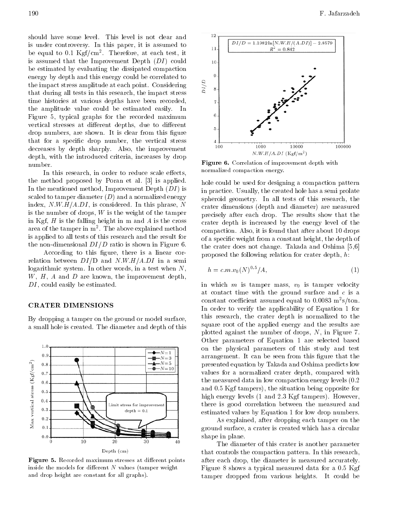should have some level. This level is not clear and is under controversy. In this paper, it is assumed to  $11$ be equal to 0.1 Kgf/cm<sup>2</sup> . Therefore, at each test, it is assumed that the Improvement Depth  $(DI)$  could  $10$ be estimated by evaluating the dissipated compaction energy by depth and this energy could be correlated to<br>the impact stress amplitude at each point. Considering<br>that during all tests in this research, the impact stress the impact stress amplitude at each point. Considering that during all tests in this research, the impact stress time histories at various depths have been recorded, the amplitude value could be estimated easily. In Figure 5, typical graphs for the recorded maximum vertical stresses at different depths, due to different drop numbers, are shown. It is clear from this figure that for <sup>a</sup> specic drop number, the vertical stress decreases by depth sharply. Also, the improvement depth, with the introduced criteria, increases by drop number.

In this research, in order to reduce scale effects, the method proposed by Poran et al. [3] is applied. In the mentioned method, Improvement Depth  $(DI)$  is scaled to tamper diameter  $(D)$  and a normalized energy index,  $N.W.H/A.DI$ , is considered. In this phrase, N is the number of drops,  $W$  is the weight of the tamper in Kgf,  $H$  is the falling height in m and  $A$  is the cross area of the tamper in m<sup>-</sup>. The above explained method  $_{\rm com}$ is applied to all tests of this research and the result for the non-dimensional  $DI/D$  ratio is shown in Figure 6.

According to this figure, there is a linear correlation between  $DI/D$  and  $N.W.H/A.DI$  in a semi logarithmic system. In other words, in a test when  $N$ ,  $W, H, A$  and  $D$  are known, the improvement depth,  $DI$ , could easily be estimated.

#### CRATER DIMENSIONS

 $1.0$ 

 $0.9$ 

 $_{0.8}$ 

 $0.7$  $0.6\,$  $0.5$  $0.4$ 

 $0.3$ 

 $0.2$  $0.1$  $0.0$ 

 $Max$  vertical stress  $(Kgf/cm^2)$ 

By dropping a tamper on the ground or model surface, <sup>a</sup> small hole is created. The diameter and depth of this

 $N = 1$ 

 $N = 3$ 

 $N = 5$ 

 $-N = 10$ 

Limit stress for improvement

 $depth = 0.1$ 





 $\blacksquare$  in the correlation of improvement depth with  $\blacksquare$ normalized compaction energy.

hole could be used for designing a compaction pattern in practice. Usually, the created hole has a semi prolate spheroid geometry. In all tests of this research, the crater dimensions (depth and diameter) are measured precisely after each drop. The results show that the crater depth is increased by the energy level of the compaction. Also, it is found that after about 10 drops of a specic weight from a constant height, the depth of the crater does not change. Takada and Oshima [5,6] proposed the following relation for crater depth, h:

$$
h = c.m.v_0(N)^{0.5}/A,
$$
\n(1)

in which  $m$  is tamper mass,  $v_0$  is tamper velocity at contact time with the ground surface and  $c$  is a constant coemcient assumed equal to 0.0083 m-s/ton. In order to verify the applicability of Equation <sup>1</sup> for this research, the crater depth is normalized to the square root of the applied energy and the results are plotted against the number of drops, N, in Figure 7. Other parameters of Equation <sup>1</sup> are selected based on the physical parameters of this study and test arrangement. It can be seen from this figure that the presented equation by Takada and Oshima predicts low values for <sup>a</sup> normalized crater depth, compared with the measured data in low compaction energy levels (0.2 and 0.5 Kgf tampers), the situation being opposite for high energy levels (1 and 2.3 Kgf tampers). However, there is good correlation between the measured and estimated values by Equation 1 for low drop numbers.

As explained, after dropping each tamper on the ground surface, a crater is created which has a circular shape in plane.

The diameter of this crater is another parameter that controls the compaction pattern. In this research, after each drop, the diameter is measured accurately. Figure 8 shows a typical measured data for a 0.5 Kgf tamper dropped from various heights. It could be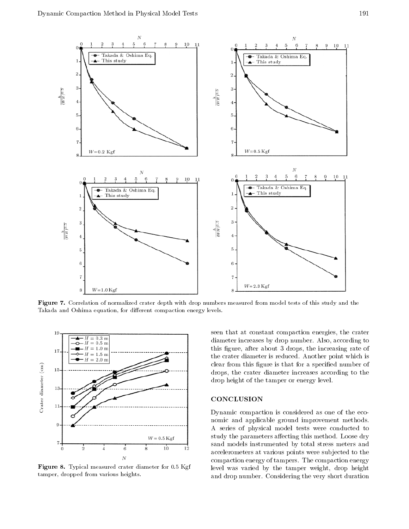

Figure 7. Correlation of normalized crater depth with drop numbers measured from model tests of this study and the Takada and Oshima equation, for different compaction energy levels.



Figure 8. Typical measured crater diameter for 0.5 Kgf tamper, dropped from various heights.

seen that at constant compaction energies, the crater diameter increases by drop number. Also, according to this figure, after about 3 drops, the increasing rate of the crater diameter is reduced. Another point which is clear from this figure is that for a specified number of drops, the crater diameter increases according to the drop height of the tamper or energy level.

#### CONCLUSION

Dynamic compaction is considered as one of the economic and applicable ground improvement methods. <sup>A</sup> series of physical model tests were conducted to study the parameters affecting this method. Loose dry sand models instrumented by total stress meters and accelerometers at various points were sub jected to the compaction energy of tampers. The compaction energy level was varied by the tamper weight, drop height and drop number. Considering the very short duration